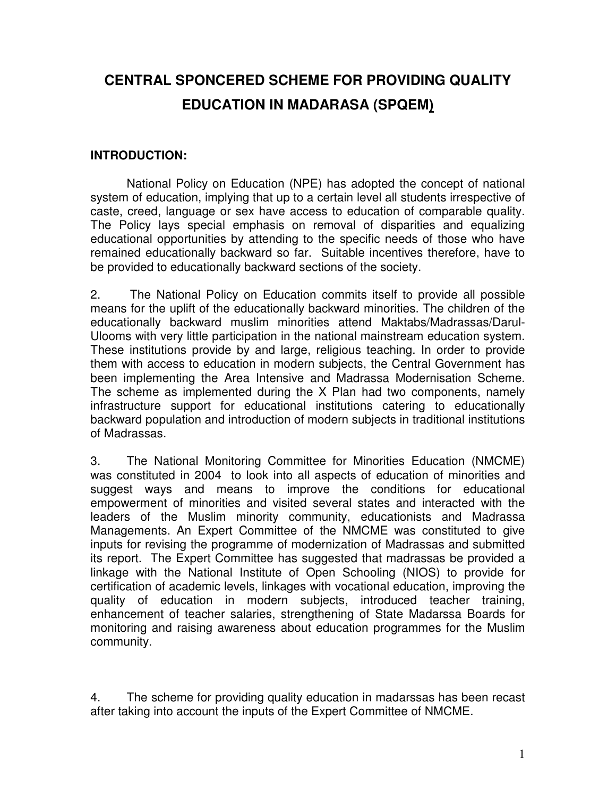# **CENTRAL SPONCERED SCHEME FOR PROVIDING QUALITY EDUCATION IN MADARASA (SPQEM)**

#### **INTRODUCTION:**

National Policy on Education (NPE) has adopted the concept of national system of education, implying that up to a certain level all students irrespective of caste, creed, language or sex have access to education of comparable quality. The Policy lays special emphasis on removal of disparities and equalizing educational opportunities by attending to the specific needs of those who have remained educationally backward so far. Suitable incentives therefore, have to be provided to educationally backward sections of the society.

2. The National Policy on Education commits itself to provide all possible means for the uplift of the educationally backward minorities. The children of the educationally backward muslim minorities attend Maktabs/Madrassas/Darul-Ulooms with very little participation in the national mainstream education system. These institutions provide by and large, religious teaching. In order to provide them with access to education in modern subjects, the Central Government has been implementing the Area Intensive and Madrassa Modernisation Scheme. The scheme as implemented during the X Plan had two components, namely infrastructure support for educational institutions catering to educationally backward population and introduction of modern subjects in traditional institutions of Madrassas.

3. The National Monitoring Committee for Minorities Education (NMCME) was constituted in 2004 to look into all aspects of education of minorities and suggest ways and means to improve the conditions for educational empowerment of minorities and visited several states and interacted with the leaders of the Muslim minority community, educationists and Madrassa Managements. An Expert Committee of the NMCME was constituted to give inputs for revising the programme of modernization of Madrassas and submitted its report. The Expert Committee has suggested that madrassas be provided a linkage with the National Institute of Open Schooling (NIOS) to provide for certification of academic levels, linkages with vocational education, improving the quality of education in modern subjects, introduced teacher training, enhancement of teacher salaries, strengthening of State Madarssa Boards for monitoring and raising awareness about education programmes for the Muslim community.

4. The scheme for providing quality education in madarssas has been recast after taking into account the inputs of the Expert Committee of NMCME.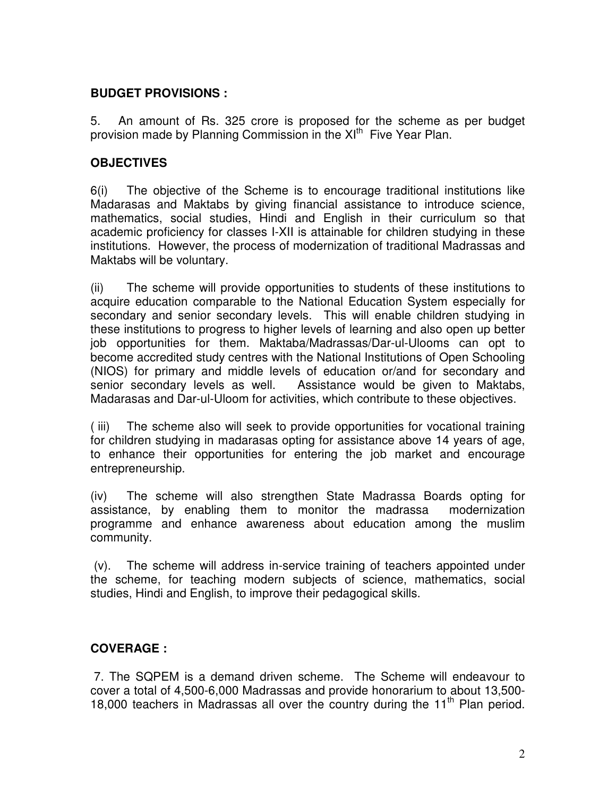#### **BUDGET PROVISIONS :**

5. An amount of Rs. 325 crore is proposed for the scheme as per budget provision made by Planning Commission in the XI<sup>th</sup> Five Year Plan.

### **OBJECTIVES**

6(i) The objective of the Scheme is to encourage traditional institutions like Madarasas and Maktabs by giving financial assistance to introduce science, mathematics, social studies, Hindi and English in their curriculum so that academic proficiency for classes I-XII is attainable for children studying in these institutions. However, the process of modernization of traditional Madrassas and Maktabs will be voluntary.

(ii) The scheme will provide opportunities to students of these institutions to acquire education comparable to the National Education System especially for secondary and senior secondary levels. This will enable children studying in these institutions to progress to higher levels of learning and also open up better job opportunities for them. Maktaba/Madrassas/Dar-ul-Ulooms can opt to become accredited study centres with the National Institutions of Open Schooling (NIOS) for primary and middle levels of education or/and for secondary and senior secondary levels as well. Assistance would be given to Maktabs, Madarasas and Dar-ul-Uloom for activities, which contribute to these objectives.

( iii) The scheme also will seek to provide opportunities for vocational training for children studying in madarasas opting for assistance above 14 years of age, to enhance their opportunities for entering the job market and encourage entrepreneurship.

(iv) The scheme will also strengthen State Madrassa Boards opting for assistance, by enabling them to monitor the madrassa modernization programme and enhance awareness about education among the muslim community.

 (v). The scheme will address in-service training of teachers appointed under the scheme, for teaching modern subjects of science, mathematics, social studies, Hindi and English, to improve their pedagogical skills.

## **COVERAGE :**

 7. The SQPEM is a demand driven scheme. The Scheme will endeavour to cover a total of 4,500-6,000 Madrassas and provide honorarium to about 13,500- 18,000 teachers in Madrassas all over the country during the  $11<sup>th</sup>$  Plan period.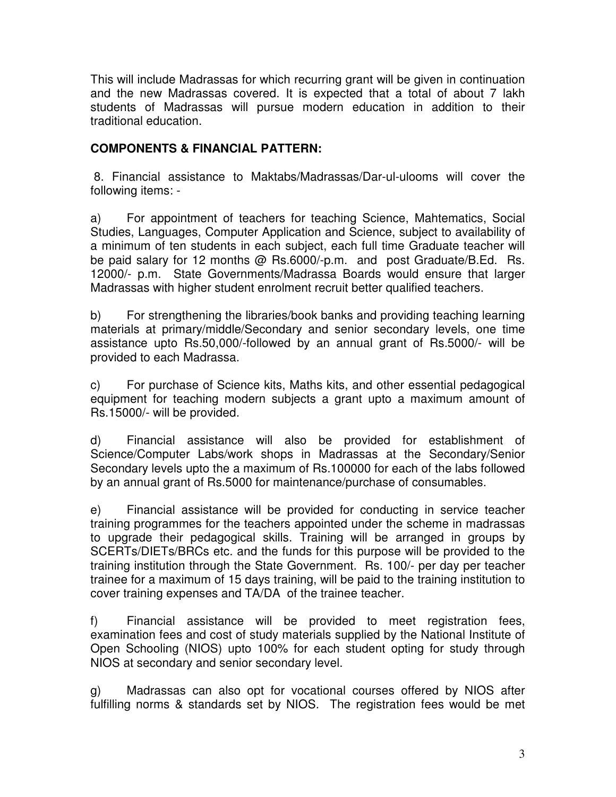This will include Madrassas for which recurring grant will be given in continuation and the new Madrassas covered. It is expected that a total of about 7 lakh students of Madrassas will pursue modern education in addition to their traditional education.

### **COMPONENTS & FINANCIAL PATTERN:**

 8. Financial assistance to Maktabs/Madrassas/Dar-ul-ulooms will cover the following items: -

a) For appointment of teachers for teaching Science, Mahtematics, Social Studies, Languages, Computer Application and Science, subject to availability of a minimum of ten students in each subject, each full time Graduate teacher will be paid salary for 12 months @ Rs.6000/-p.m. and post Graduate/B.Ed. Rs. 12000/- p.m. State Governments/Madrassa Boards would ensure that larger Madrassas with higher student enrolment recruit better qualified teachers.

b) For strengthening the libraries/book banks and providing teaching learning materials at primary/middle/Secondary and senior secondary levels, one time assistance upto Rs.50,000/-followed by an annual grant of Rs.5000/- will be provided to each Madrassa.

c) For purchase of Science kits, Maths kits, and other essential pedagogical equipment for teaching modern subjects a grant upto a maximum amount of Rs.15000/- will be provided.

d) Financial assistance will also be provided for establishment of Science/Computer Labs/work shops in Madrassas at the Secondary/Senior Secondary levels upto the a maximum of Rs.100000 for each of the labs followed by an annual grant of Rs.5000 for maintenance/purchase of consumables.

e) Financial assistance will be provided for conducting in service teacher training programmes for the teachers appointed under the scheme in madrassas to upgrade their pedagogical skills. Training will be arranged in groups by SCERTs/DIETs/BRCs etc. and the funds for this purpose will be provided to the training institution through the State Government. Rs. 100/- per day per teacher trainee for a maximum of 15 days training, will be paid to the training institution to cover training expenses and TA/DA of the trainee teacher.

f) Financial assistance will be provided to meet registration fees, examination fees and cost of study materials supplied by the National Institute of Open Schooling (NIOS) upto 100% for each student opting for study through NIOS at secondary and senior secondary level.

g) Madrassas can also opt for vocational courses offered by NIOS after fulfilling norms & standards set by NIOS. The registration fees would be met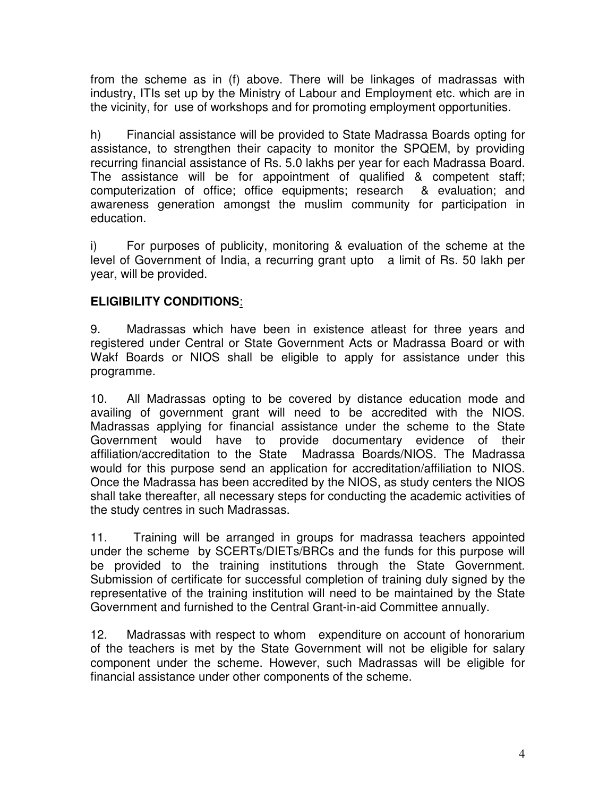from the scheme as in (f) above. There will be linkages of madrassas with industry, ITIs set up by the Ministry of Labour and Employment etc. which are in the vicinity, for use of workshops and for promoting employment opportunities.

h) Financial assistance will be provided to State Madrassa Boards opting for assistance, to strengthen their capacity to monitor the SPQEM, by providing recurring financial assistance of Rs. 5.0 lakhs per year for each Madrassa Board. The assistance will be for appointment of qualified & competent staff; computerization of office; office equipments; research & evaluation; and awareness generation amongst the muslim community for participation in education.

i) For purposes of publicity, monitoring & evaluation of the scheme at the level of Government of India, a recurring grant upto a limit of Rs. 50 lakh per year, will be provided.

#### **ELIGIBILITY CONDITIONS**:

9. Madrassas which have been in existence atleast for three years and registered under Central or State Government Acts or Madrassa Board or with Wakf Boards or NIOS shall be eligible to apply for assistance under this programme.

10. All Madrassas opting to be covered by distance education mode and availing of government grant will need to be accredited with the NIOS. Madrassas applying for financial assistance under the scheme to the State Government would have to provide documentary evidence of their affiliation/accreditation to the State Madrassa Boards/NIOS. The Madrassa would for this purpose send an application for accreditation/affiliation to NIOS. Once the Madrassa has been accredited by the NIOS, as study centers the NIOS shall take thereafter, all necessary steps for conducting the academic activities of the study centres in such Madrassas.

11. Training will be arranged in groups for madrassa teachers appointed under the scheme by SCERTs/DIETs/BRCs and the funds for this purpose will be provided to the training institutions through the State Government. Submission of certificate for successful completion of training duly signed by the representative of the training institution will need to be maintained by the State Government and furnished to the Central Grant-in-aid Committee annually.

12. Madrassas with respect to whom expenditure on account of honorarium of the teachers is met by the State Government will not be eligible for salary component under the scheme. However, such Madrassas will be eligible for financial assistance under other components of the scheme.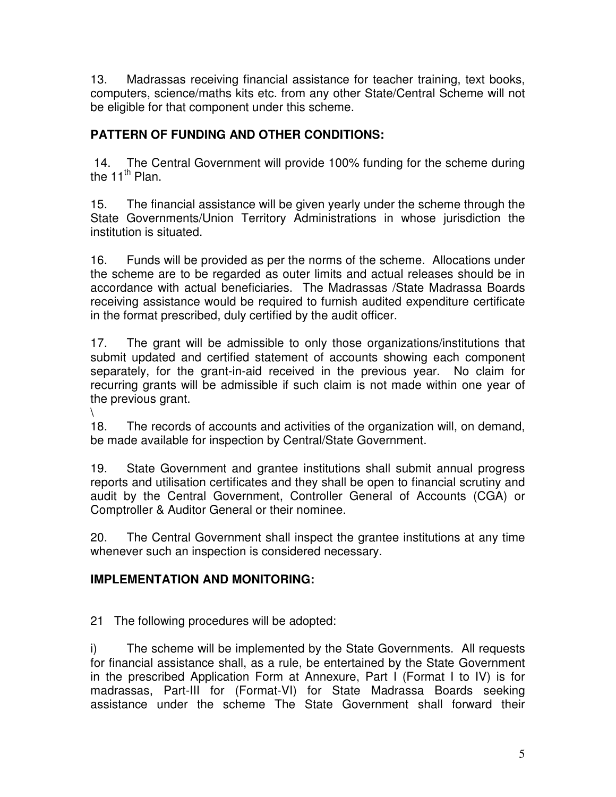13. Madrassas receiving financial assistance for teacher training, text books, computers, science/maths kits etc. from any other State/Central Scheme will not be eligible for that component under this scheme.

# **PATTERN OF FUNDING AND OTHER CONDITIONS:**

 14. The Central Government will provide 100% funding for the scheme during the  $11^{th}$  Plan.

15. The financial assistance will be given yearly under the scheme through the State Governments/Union Territory Administrations in whose jurisdiction the institution is situated.

16. Funds will be provided as per the norms of the scheme. Allocations under the scheme are to be regarded as outer limits and actual releases should be in accordance with actual beneficiaries. The Madrassas /State Madrassa Boards receiving assistance would be required to furnish audited expenditure certificate in the format prescribed, duly certified by the audit officer.

17. The grant will be admissible to only those organizations/institutions that submit updated and certified statement of accounts showing each component separately, for the grant-in-aid received in the previous year. No claim for recurring grants will be admissible if such claim is not made within one year of the previous grant.

 $\setminus$ 

18. The records of accounts and activities of the organization will, on demand, be made available for inspection by Central/State Government.

19. State Government and grantee institutions shall submit annual progress reports and utilisation certificates and they shall be open to financial scrutiny and audit by the Central Government, Controller General of Accounts (CGA) or Comptroller & Auditor General or their nominee.

20. The Central Government shall inspect the grantee institutions at any time whenever such an inspection is considered necessary.

# **IMPLEMENTATION AND MONITORING:**

21 The following procedures will be adopted:

i) The scheme will be implemented by the State Governments. All requests for financial assistance shall, as a rule, be entertained by the State Government in the prescribed Application Form at Annexure, Part I (Format I to IV) is for madrassas, Part-III for (Format-VI) for State Madrassa Boards seeking assistance under the scheme The State Government shall forward their